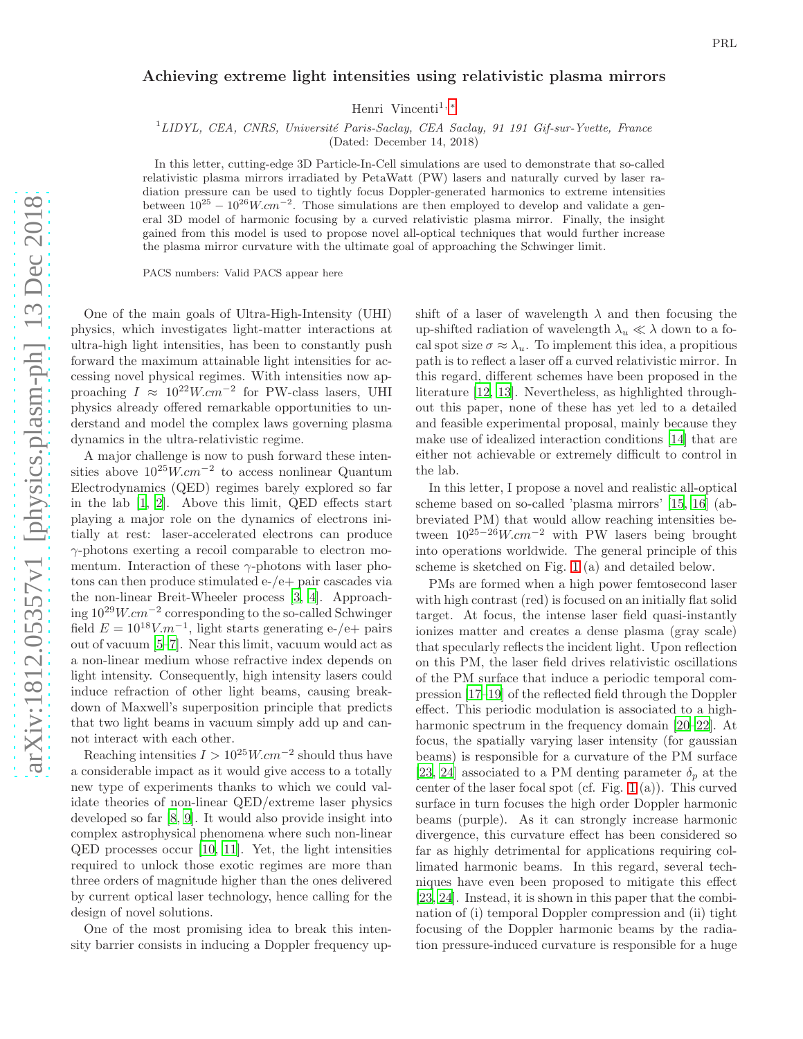## Achieving extreme light intensities using relativistic plasma mirrors

Henri Vincenti<sup>1,\*</sup>

 $1^1$ LIDYL, CEA, CNRS, Université Paris-Saclay, CEA Saclay, 91 191 Gif-sur-Yvette, France

(Dated: December 14, 2018)

In this letter, cutting-edge 3D Particle-In-Cell simulations are used to demonstrate that so-called relativistic plasma mirrors irradiated by PetaWatt (PW) lasers and naturally curved by laser radiation pressure can be used to tightly focus Doppler-generated harmonics to extreme intensities between  $10^{25} - 10^{26} W.cm^{-2}$ . Those simulations are then employed to develop and validate a general 3D model of harmonic focusing by a curved relativistic plasma mirror. Finally, the insight gained from this model is used to propose novel all-optical techniques that would further increase the plasma mirror curvature with the ultimate goal of approaching the Schwinger limit.

PACS numbers: Valid PACS appear here

One of the main goals of Ultra-High-Intensity (UHI) physics, which investigates light-matter interactions at ultra-high light intensities, has been to constantly push forward the maximum attainable light intensities for accessing novel physical regimes. With intensities now approaching  $I \approx 10^{22} W.cm^{-2}$  for PW-class lasers, UHI physics already offered remarkable opportunities to understand and model the complex laws governing plasma dynamics in the ultra-relativistic regime.

A major challenge is now to push forward these intensities above  $10^{25}$ W.cm<sup>-2</sup> to access nonlinear Quantum Electrodynamics (QED) regimes barely explored so far in the lab [\[1,](#page-4-1) [2](#page-4-2)]. Above this limit, QED effects start playing a major role on the dynamics of electrons initially at rest: laser-accelerated electrons can produce  $\gamma$ -photons exerting a recoil comparable to electron momentum. Interaction of these  $\gamma$ -photons with laser photons can then produce stimulated e-/e+ pair cascades via the non-linear Breit-Wheeler process [\[3,](#page-4-3) [4\]](#page-4-4). Approaching 1029W.cm<sup>−</sup><sup>2</sup> corresponding to the so-called Schwinger field  $E = 10^{18} V.m^{-1}$ , light starts generating e-/e+ pairs out of vacuum [\[5](#page-4-5)[–7](#page-4-6)]. Near this limit, vacuum would act as a non-linear medium whose refractive index depends on light intensity. Consequently, high intensity lasers could induce refraction of other light beams, causing breakdown of Maxwell's superposition principle that predicts that two light beams in vacuum simply add up and cannot interact with each other.

Reaching intensities  $I > 10^{25} W.cm^{-2}$  should thus have a considerable impact as it would give access to a totally new type of experiments thanks to which we could validate theories of non-linear QED/extreme laser physics developed so far [\[8,](#page-4-7) [9\]](#page-4-8). It would also provide insight into complex astrophysical phenomena where such non-linear QED processes occur [\[10,](#page-4-9) [11\]](#page-4-10). Yet, the light intensities required to unlock those exotic regimes are more than three orders of magnitude higher than the ones delivered by current optical laser technology, hence calling for the design of novel solutions.

One of the most promising idea to break this intensity barrier consists in inducing a Doppler frequency upshift of a laser of wavelength  $\lambda$  and then focusing the up-shifted radiation of wavelength  $\lambda_u \ll \lambda$  down to a focal spot size  $\sigma \approx \lambda_u$ . To implement this idea, a propitious path is to reflect a laser off a curved relativistic mirror. In this regard, different schemes have been proposed in the literature [\[12,](#page-4-11) [13\]](#page-4-12). Nevertheless, as highlighted throughout this paper, none of these has yet led to a detailed and feasible experimental proposal, mainly because they make use of idealized interaction conditions [\[14\]](#page-4-13) that are either not achievable or extremely difficult to control in the lab.

In this letter, I propose a novel and realistic all-optical scheme based on so-called 'plasma mirrors' [\[15,](#page-4-14) [16](#page-4-15)] (abbreviated PM) that would allow reaching intensities between  $10^{25-26}$ W.cm<sup>-2</sup> with PW lasers being brought into operations worldwide. The general principle of this scheme is sketched on Fig. [1](#page-1-0) (a) and detailed below.

PMs are formed when a high power femtosecond laser with high contrast (red) is focused on an initially flat solid target. At focus, the intense laser field quasi-instantly ionizes matter and creates a dense plasma (gray scale) that specularly reflects the incident light. Upon reflection on this PM, the laser field drives relativistic oscillations of the PM surface that induce a periodic temporal compression [\[17](#page-4-16)[–19](#page-4-17)] of the reflected field through the Doppler effect. This periodic modulation is associated to a highharmonic spectrum in the frequency domain [\[20](#page-4-18)[–22](#page-4-19)]. At focus, the spatially varying laser intensity (for gaussian beams) is responsible for a curvature of the PM surface [\[23,](#page-4-20) [24\]](#page-4-21) associated to a PM denting parameter  $\delta_p$  at the center of the laser focal spot (cf. Fig. [1](#page-1-0) (a)). This curved surface in turn focuses the high order Doppler harmonic beams (purple). As it can strongly increase harmonic divergence, this curvature effect has been considered so far as highly detrimental for applications requiring collimated harmonic beams. In this regard, several techniques have even been proposed to mitigate this effect [\[23,](#page-4-20) [24\]](#page-4-21). Instead, it is shown in this paper that the combination of (i) temporal Doppler compression and (ii) tight focusing of the Doppler harmonic beams by the radiation pressure-induced curvature is responsible for a huge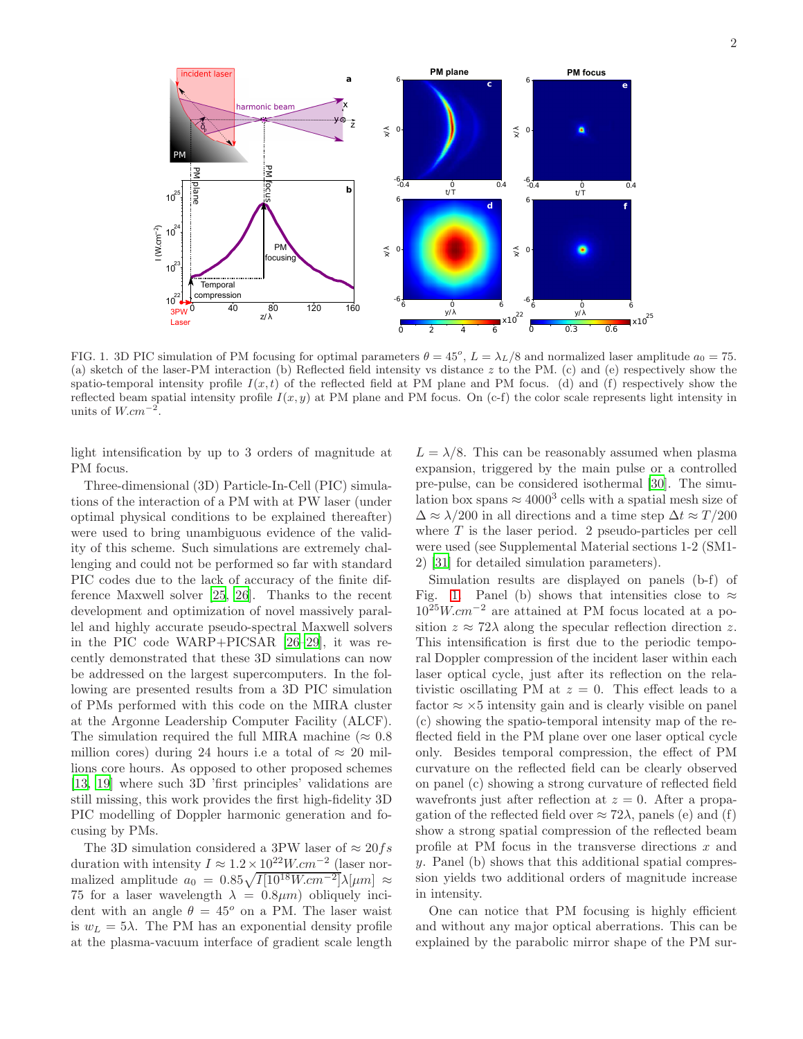

<span id="page-1-0"></span>FIG. 1. 3D PIC simulation of PM focusing for optimal parameters  $\theta = 45^{\circ}$ ,  $L = \lambda_L/8$  and normalized laser amplitude  $a_0 = 75$ . (a) sketch of the laser-PM interaction (b) Reflected field intensity vs distance z to the PM. (c) and (e) respectively show the spatio-temporal intensity profile  $I(x,t)$  of the reflected field at PM plane and PM focus. (d) and (f) respectively show the reflected beam spatial intensity profile  $I(x, y)$  at PM plane and PM focus. On (c-f) the color scale represents light intensity in units of  $W.cm^{-2}$ .

light intensification by up to 3 orders of magnitude at PM focus.

Three-dimensional (3D) Particle-In-Cell (PIC) simulations of the interaction of a PM with at PW laser (under optimal physical conditions to be explained thereafter) were used to bring unambiguous evidence of the validity of this scheme. Such simulations are extremely challenging and could not be performed so far with standard PIC codes due to the lack of accuracy of the finite difference Maxwell solver [\[25](#page-4-22), [26\]](#page-4-23). Thanks to the recent development and optimization of novel massively parallel and highly accurate pseudo-spectral Maxwell solvers in the PIC code WARP+PICSAR [\[26–](#page-4-23)[29\]](#page-4-24), it was recently demonstrated that these 3D simulations can now be addressed on the largest supercomputers. In the following are presented results from a 3D PIC simulation of PMs performed with this code on the MIRA cluster at the Argonne Leadership Computer Facility (ALCF). The simulation required the full MIRA machine ( $\approx 0.8$ ) million cores) during 24 hours i.e a total of  $\approx 20$  millions core hours. As opposed to other proposed schemes [\[13,](#page-4-12) [19\]](#page-4-17) where such 3D 'first principles' validations are still missing, this work provides the first high-fidelity 3D PIC modelling of Doppler harmonic generation and focusing by PMs.

The 3D simulation considered a 3PW laser of  $\approx 20$  fs duration with intensity  $I \approx 1.2 \times 10^{22} W.cm^{-2}$  (laser normalized amplitude  $a_0 = 0.85\sqrt{I[10^{18}W.cm^{-2}]}\lambda[\mu m] \approx$ 75 for a laser wavelength  $\lambda = 0.8 \mu m$ ) obliquely incident with an angle  $\theta = 45^{\circ}$  on a PM. The laser waist is  $w_L = 5\lambda$ . The PM has an exponential density profile at the plasma-vacuum interface of gradient scale length

 $L = \lambda/8$ . This can be reasonably assumed when plasma expansion, triggered by the main pulse or a controlled pre-pulse, can be considered isothermal [\[30\]](#page-4-25). The simulation box spans  $\approx 4000^3$  cells with a spatial mesh size of  $\Delta \approx \lambda/200$  in all directions and a time step  $\Delta t \approx T/200$ where  $T$  is the laser period. 2 pseudo-particles per cell were used (see Supplemental Material sections 1-2 (SM1- 2) [\[31\]](#page-4-26) for detailed simulation parameters).

Simulation results are displayed on panels (b-f) of Fig. [1.](#page-1-0) Panel (b) shows that intensities close to  $\approx$  $10^{25}W.cm^{-2}$  are attained at PM focus located at a position  $z \approx 72\lambda$  along the specular reflection direction z. This intensification is first due to the periodic temporal Doppler compression of the incident laser within each laser optical cycle, just after its reflection on the relativistic oscillating PM at  $z = 0$ . This effect leads to a factor  $\approx \times 5$  intensity gain and is clearly visible on panel (c) showing the spatio-temporal intensity map of the reflected field in the PM plane over one laser optical cycle only. Besides temporal compression, the effect of PM curvature on the reflected field can be clearly observed on panel (c) showing a strong curvature of reflected field wavefronts just after reflection at  $z = 0$ . After a propagation of the reflected field over  $\approx 72\lambda$ , panels (e) and (f) show a strong spatial compression of the reflected beam profile at PM focus in the transverse directions  $x$  and y. Panel (b) shows that this additional spatial compression yields two additional orders of magnitude increase in intensity.

One can notice that PM focusing is highly efficient and without any major optical aberrations. This can be explained by the parabolic mirror shape of the PM sur-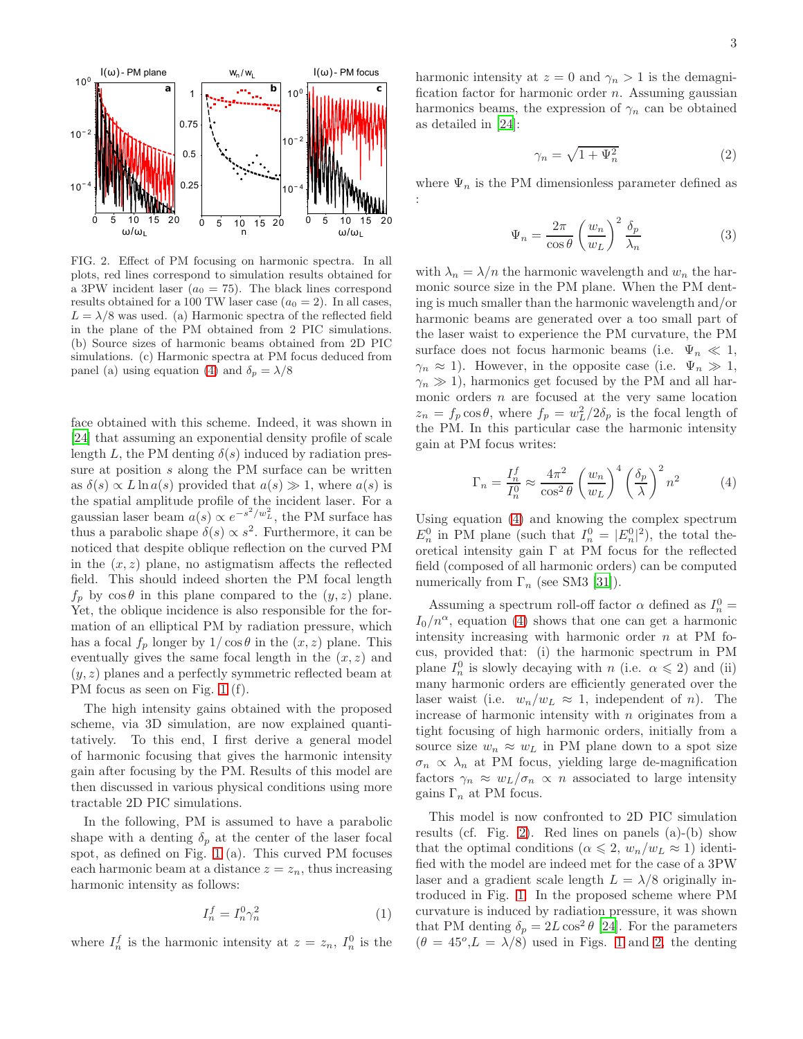

<span id="page-2-1"></span>FIG. 2. Effect of PM focusing on harmonic spectra. In all plots, red lines correspond to simulation results obtained for a 3PW incident laser  $(a_0 = 75)$ . The black lines correspond results obtained for a 100 TW laser case  $(a_0 = 2)$ . In all cases,  $L = \lambda/8$  was used. (a) Harmonic spectra of the reflected field in the plane of the PM obtained from 2 PIC simulations. (b) Source sizes of harmonic beams obtained from 2D PIC simulations. (c) Harmonic spectra at PM focus deduced from panel (a) using equation [\(4\)](#page-2-0) and  $\delta_p = \lambda/8$ 

face obtained with this scheme. Indeed, it was shown in [\[24\]](#page-4-21) that assuming an exponential density profile of scale length L, the PM denting  $\delta(s)$  induced by radiation pressure at position s along the PM surface can be written as  $\delta(s) \propto L \ln a(s)$  provided that  $a(s) \gg 1$ , where  $a(s)$  is the spatial amplitude profile of the incident laser. For a gaussian laser beam  $a(s) \propto e^{-s^2/w_L^2}$ , the PM surface has thus a parabolic shape  $\delta(s) \propto s^2$ . Furthermore, it can be noticed that despite oblique reflection on the curved PM in the  $(x, z)$  plane, no astigmatism affects the reflected field. This should indeed shorten the PM focal length  $f_p$  by  $\cos \theta$  in this plane compared to the  $(y, z)$  plane. Yet, the oblique incidence is also responsible for the formation of an elliptical PM by radiation pressure, which has a focal  $f_p$  longer by  $1/\cos\theta$  in the  $(x, z)$  plane. This eventually gives the same focal length in the  $(x, z)$  and  $(y, z)$  planes and a perfectly symmetric reflected beam at PM focus as seen on Fig. [1](#page-1-0) (f).

The high intensity gains obtained with the proposed scheme, via 3D simulation, are now explained quantitatively. To this end, I first derive a general model of harmonic focusing that gives the harmonic intensity gain after focusing by the PM. Results of this model are then discussed in various physical conditions using more tractable 2D PIC simulations.

In the following, PM is assumed to have a parabolic shape with a denting  $\delta_p$  at the center of the laser focal spot, as defined on Fig. [1](#page-1-0) (a). This curved PM focuses each harmonic beam at a distance  $z = z_n$ , thus increasing harmonic intensity as follows:

$$
I_n^f = I_n^0 \gamma_n^2 \tag{1}
$$

where  $I_n^f$  is the harmonic intensity at  $z = z_n$ ,  $I_n^0$  is the

harmonic intensity at  $z = 0$  and  $\gamma_n > 1$  is the demagnification factor for harmonic order  $n$ . Assuming gaussian harmonics beams, the expression of  $\gamma_n$  can be obtained as detailed in [\[24](#page-4-21)]:

$$
\gamma_n = \sqrt{1 + \Psi_n^2} \tag{2}
$$

where  $\Psi_n$  is the PM dimensionless parameter defined as :

$$
\Psi_n = \frac{2\pi}{\cos\theta} \left(\frac{w_n}{w_L}\right)^2 \frac{\delta_p}{\lambda_n}
$$
\n(3)

with  $\lambda_n = \lambda/n$  the harmonic wavelength and  $w_n$  the harmonic source size in the PM plane. When the PM denting is much smaller than the harmonic wavelength and/or harmonic beams are generated over a too small part of the laser waist to experience the PM curvature, the PM surface does not focus harmonic beams (i.e.  $\Psi_n \ll 1$ ,  $\gamma_n \approx 1$ ). However, in the opposite case (i.e.  $\Psi_n \gg 1$ ,  $\gamma_n \gg 1$ ), harmonics get focused by the PM and all harmonic orders  $n$  are focused at the very same location  $z_n = f_p \cos \theta$ , where  $f_p = w_L^2/2 \delta_p$  is the focal length of the PM. In this particular case the harmonic intensity gain at PM focus writes:

<span id="page-2-0"></span>
$$
\Gamma_n = \frac{I_n^f}{I_n^0} \approx \frac{4\pi^2}{\cos^2 \theta} \left(\frac{w_n}{w_L}\right)^4 \left(\frac{\delta_p}{\lambda}\right)^2 n^2 \tag{4}
$$

Using equation [\(4\)](#page-2-0) and knowing the complex spectrum  $E_n^0$  in PM plane (such that  $I_n^0 = |E_n^0|^2$ ), the total theoretical intensity gain  $\Gamma$  at PM focus for the reflected field (composed of all harmonic orders) can be computed numerically from  $\Gamma_n$  (see SM3 [\[31\]](#page-4-26)).

Assuming a spectrum roll-off factor  $\alpha$  defined as  $I_n^0 =$  $I_0/n^{\alpha}$ , equation [\(4\)](#page-2-0) shows that one can get a harmonic intensity increasing with harmonic order  $n$  at PM focus, provided that: (i) the harmonic spectrum in PM plane  $I_n^0$  is slowly decaying with n (i.e.  $\alpha \leqslant 2$ ) and (ii) many harmonic orders are efficiently generated over the laser waist (i.e.  $w_n/w_L \approx 1$ , independent of *n*). The increase of harmonic intensity with  $n$  originates from a tight focusing of high harmonic orders, initially from a source size  $w_n \approx w_L$  in PM plane down to a spot size  $\sigma_n \propto \lambda_n$  at PM focus, yielding large de-magnification factors  $\gamma_n \approx w_L/\sigma_n \propto n$  associated to large intensity gains  $\Gamma_n$  at PM focus.

This model is now confronted to 2D PIC simulation results (cf. Fig. [2\)](#page-2-1). Red lines on panels (a)-(b) show that the optimal conditions ( $\alpha \leq 2$ ,  $w_n/w_L \approx 1$ ) identified with the model are indeed met for the case of a 3PW laser and a gradient scale length  $L = \lambda/8$  originally introduced in Fig. [1.](#page-1-0) In the proposed scheme where PM curvature is induced by radiation pressure, it was shown that PM denting  $\delta_p = 2L \cos^2 \theta$  [\[24](#page-4-21)]. For the parameters  $(\theta = 45^{\circ}, L = \lambda/8)$  used in Figs. [1](#page-1-0) and [2,](#page-2-1) the denting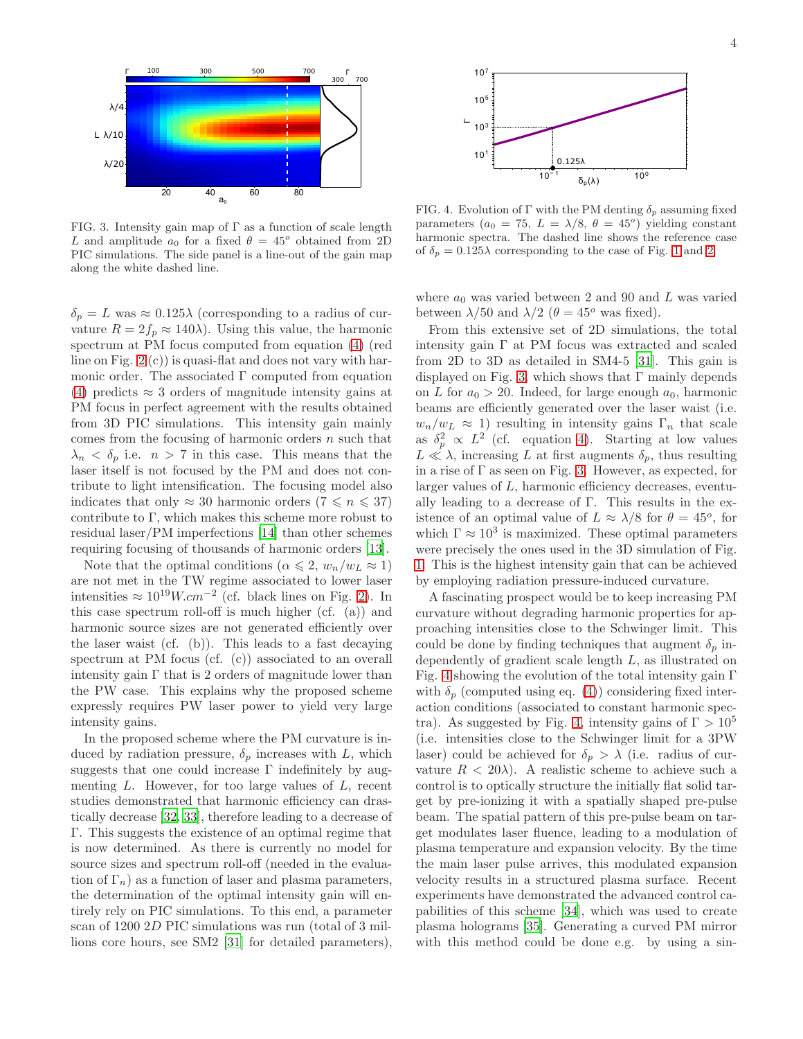

<span id="page-3-0"></span>FIG. 3. Intensity gain map of  $\Gamma$  as a function of scale length L and amplitude  $a_0$  for a fixed  $\theta = 45^{\circ}$  obtained from 2D PIC simulations. The side panel is a line-out of the gain map along the white dashed line.

 $\delta_p = L$  was  $\approx 0.125\lambda$  (corresponding to a radius of curvature  $R = 2f_p \approx 140\lambda$ . Using this value, the harmonic spectrum at PM focus computed from equation [\(4\)](#page-2-0) (red line on Fig. [2](#page-2-1) (c)) is quasi-flat and does not vary with harmonic order. The associated  $\Gamma$  computed from equation [\(4\)](#page-2-0) predicts  $\approx$  3 orders of magnitude intensity gains at PM focus in perfect agreement with the results obtained from 3D PIC simulations. This intensity gain mainly comes from the focusing of harmonic orders  $n$  such that  $\lambda_n < \delta_p$  i.e.  $n > 7$  in this case. This means that the laser itself is not focused by the PM and does not contribute to light intensification. The focusing model also indicates that only  $\approx 30$  harmonic orders  $(7 \leq n \leq 37)$ contribute to Γ, which makes this scheme more robust to residual laser/PM imperfections [\[14](#page-4-13)] than other schemes requiring focusing of thousands of harmonic orders [\[13\]](#page-4-12).

Note that the optimal conditions ( $\alpha \leqslant 2$ ,  $w_n/w_L \approx 1$ ) are not met in the TW regime associated to lower laser intensities  $\approx 10^{19} W.cm^{-2}$  (cf. black lines on Fig. [2\)](#page-2-1). In this case spectrum roll-off is much higher (cf. (a)) and harmonic source sizes are not generated efficiently over the laser waist (cf. (b)). This leads to a fast decaying spectrum at PM focus (cf. (c)) associated to an overall intensity gain  $\Gamma$  that is 2 orders of magnitude lower than the PW case. This explains why the proposed scheme expressly requires PW laser power to yield very large intensity gains.

In the proposed scheme where the PM curvature is induced by radiation pressure,  $\delta_p$  increases with L, which suggests that one could increase  $\Gamma$  indefinitely by augmenting  $L$ . However, for too large values of  $L$ , recent studies demonstrated that harmonic efficiency can drastically decrease [\[32,](#page-4-27) [33](#page-4-28)], therefore leading to a decrease of Γ. This suggests the existence of an optimal regime that is now determined. As there is currently no model for source sizes and spectrum roll-off (needed in the evaluation of  $\Gamma_n$ ) as a function of laser and plasma parameters, the determination of the optimal intensity gain will entirely rely on PIC simulations. To this end, a parameter scan of 1200 2D PIC simulations was run (total of 3 millions core hours, see SM2 [\[31](#page-4-26)] for detailed parameters),



<span id="page-3-1"></span>FIG. 4. Evolution of Γ with the PM denting  $\delta_p$  assuming fixed parameters  $(a_0 = 75, L = \lambda/8, \theta = 45^{\circ})$  yielding constant harmonic spectra. The dashed line shows the reference case of  $\delta_p = 0.125\lambda$  corresponding to the case of Fig. [1](#page-1-0) and [2.](#page-2-1)

where  $a_0$  was varied between 2 and 90 and L was varied between  $\lambda/50$  and  $\lambda/2$  ( $\theta = 45^{\circ}$  was fixed).

From this extensive set of 2D simulations, the total intensity gain  $\Gamma$  at PM focus was extracted and scaled from 2D to 3D as detailed in SM4-5 [\[31\]](#page-4-26). This gain is displayed on Fig. [3,](#page-3-0) which shows that  $\Gamma$  mainly depends on L for  $a_0 > 20$ . Indeed, for large enough  $a_0$ , harmonic beams are efficiently generated over the laser waist (i.e.  $w_n/w_L \approx 1$ ) resulting in intensity gains  $\Gamma_n$  that scale as  $\delta_p^2 \propto L^2$  (cf. equation [4\)](#page-2-0). Starting at low values  $L \ll \lambda$ , increasing L at first augments  $\delta_p$ , thus resulting in a rise of  $\Gamma$  as seen on Fig. [3.](#page-3-0) However, as expected, for larger values of L, harmonic efficiency decreases, eventually leading to a decrease of Γ. This results in the existence of an optimal value of  $L \approx \lambda/8$  for  $\theta = 45^{\circ}$ , for which  $\Gamma \approx 10^3$  is maximized. These optimal parameters were precisely the ones used in the 3D simulation of Fig. [1.](#page-1-0) This is the highest intensity gain that can be achieved by employing radiation pressure-induced curvature.

A fascinating prospect would be to keep increasing PM curvature without degrading harmonic properties for approaching intensities close to the Schwinger limit. This could be done by finding techniques that augment  $\delta_p$  independently of gradient scale length L, as illustrated on Fig. [4](#page-3-1) showing the evolution of the total intensity gain Γ with  $\delta_p$  (computed using eq. [\(4\)](#page-2-0)) considering fixed interaction conditions (associated to constant harmonic spec-tra). As suggested by Fig. [4,](#page-3-1) intensity gains of  $\Gamma > 10^5$ (i.e. intensities close to the Schwinger limit for a 3PW laser) could be achieved for  $\delta_p > \lambda$  (i.e. radius of curvature  $R < 20\lambda$ . A realistic scheme to achieve such a control is to optically structure the initially flat solid target by pre-ionizing it with a spatially shaped pre-pulse beam. The spatial pattern of this pre-pulse beam on target modulates laser fluence, leading to a modulation of plasma temperature and expansion velocity. By the time the main laser pulse arrives, this modulated expansion velocity results in a structured plasma surface. Recent experiments have demonstrated the advanced control capabilities of this scheme [\[34\]](#page-4-29), which was used to create plasma holograms [\[35\]](#page-4-30). Generating a curved PM mirror with this method could be done e.g. by using a sin